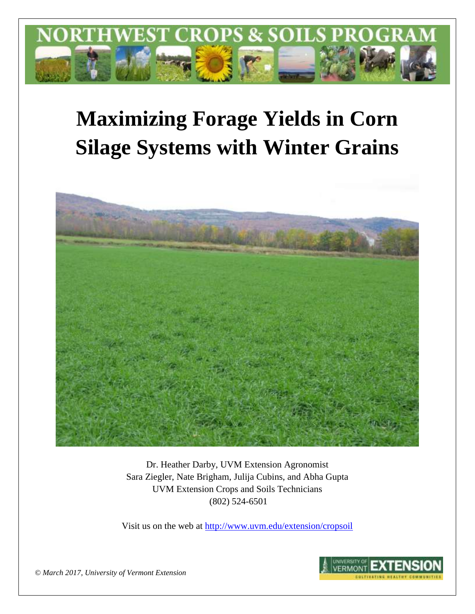

# **Maximizing Forage Yields in Corn Silage Systems with Winter Grains**



Dr. Heather Darby, UVM Extension Agronomist Sara Ziegler, Nate Brigham, Julija Cubins, and Abha Gupta UVM Extension Crops and Soils Technicians (802) 524-6501

Visit us on the web at <http://www.uvm.edu/extension/cropsoil>



*© March 2017, University of Vermont Extension*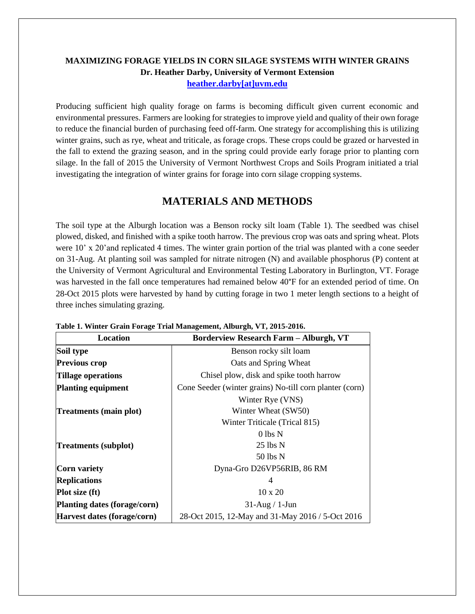## **MAXIMIZING FORAGE YIELDS IN CORN SILAGE SYSTEMS WITH WINTER GRAINS Dr. Heather Darby, University of Vermont Extension [heather.darby\[at\]uvm.edu](mailto:heather.darby@uvm.edu?subject=2013%20Long%20Season%20Corn%20Report)**

Producing sufficient high quality forage on farms is becoming difficult given current economic and environmental pressures. Farmers are looking for strategies to improve yield and quality of their own forage to reduce the financial burden of purchasing feed off-farm. One strategy for accomplishing this is utilizing winter grains, such as rye, wheat and triticale, as forage crops. These crops could be grazed or harvested in the fall to extend the grazing season, and in the spring could provide early forage prior to planting corn silage. In the fall of 2015 the University of Vermont Northwest Crops and Soils Program initiated a trial investigating the integration of winter grains for forage into corn silage cropping systems.

## **MATERIALS AND METHODS**

The soil type at the Alburgh location was a Benson rocky silt loam (Table 1). The seedbed was chisel plowed, disked, and finished with a spike tooth harrow. The previous crop was oats and spring wheat. Plots were 10' x 20'and replicated 4 times. The winter grain portion of the trial was planted with a cone seeder on 31-Aug. At planting soil was sampled for nitrate nitrogen (N) and available phosphorus (P) content at the University of Vermont Agricultural and Environmental Testing Laboratory in Burlington, VT. Forage was harvested in the fall once temperatures had remained below 40°F for an extended period of time. On 28-Oct 2015 plots were harvested by hand by cutting forage in two 1 meter length sections to a height of three inches simulating grazing.

|                              | Table 1. Whitel Grain Porage Trial Management, Alburgh, VI, 2013-2010. |  |  |  |  |  |  |  |
|------------------------------|------------------------------------------------------------------------|--|--|--|--|--|--|--|
| Location                     | <b>Borderview Research Farm - Alburgh, VT</b>                          |  |  |  |  |  |  |  |
| Soil type                    | Benson rocky silt loam                                                 |  |  |  |  |  |  |  |
| <b>Previous crop</b>         | Oats and Spring Wheat                                                  |  |  |  |  |  |  |  |
| <b>Tillage operations</b>    | Chisel plow, disk and spike tooth harrow                               |  |  |  |  |  |  |  |
| <b>Planting equipment</b>    | Cone Seeder (winter grains) No-till corn planter (corn)                |  |  |  |  |  |  |  |
|                              | Winter Rye (VNS)                                                       |  |  |  |  |  |  |  |
| Treatments (main plot)       | Winter Wheat (SW50)                                                    |  |  |  |  |  |  |  |
|                              | Winter Triticale (Trical 815)                                          |  |  |  |  |  |  |  |
|                              | $0$ lbs $N$                                                            |  |  |  |  |  |  |  |
| <b>Treatments (subplot)</b>  | $25$ lbs $N$                                                           |  |  |  |  |  |  |  |
|                              | 50 lbs N                                                               |  |  |  |  |  |  |  |
| Corn variety                 | Dyna-Gro D26VP56RIB, 86 RM                                             |  |  |  |  |  |  |  |
| <b>Replications</b>          | 4                                                                      |  |  |  |  |  |  |  |
| <b>Plot size (ft)</b>        | $10 \times 20$                                                         |  |  |  |  |  |  |  |
| Planting dates (forage/corn) | $31$ -Aug / 1-Jun                                                      |  |  |  |  |  |  |  |
| Harvest dates (forage/corn)  | 28-Oct 2015, 12-May and 31-May 2016 / 5-Oct 2016                       |  |  |  |  |  |  |  |

|  | Table 1. Winter Grain Forage Trial Management, Alburgh, VT, 2015-2016. |  |
|--|------------------------------------------------------------------------|--|
|  |                                                                        |  |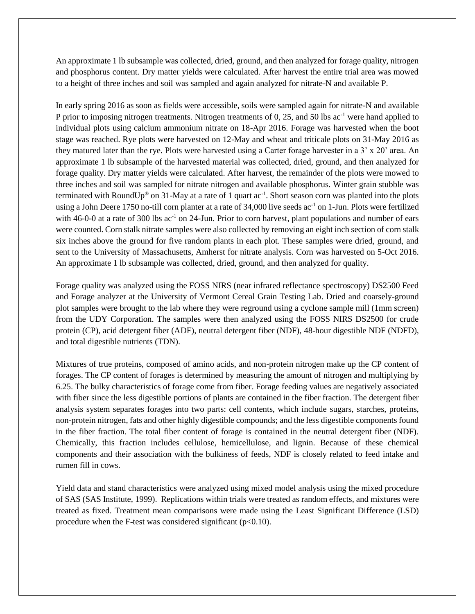An approximate 1 lb subsample was collected, dried, ground, and then analyzed for forage quality, nitrogen and phosphorus content. Dry matter yields were calculated. After harvest the entire trial area was mowed to a height of three inches and soil was sampled and again analyzed for nitrate-N and available P.

In early spring 2016 as soon as fields were accessible, soils were sampled again for nitrate-N and available P prior to imposing nitrogen treatments. Nitrogen treatments of 0, 25, and 50 lbs ac<sup>-1</sup> were hand applied to individual plots using calcium ammonium nitrate on 18-Apr 2016. Forage was harvested when the boot stage was reached. Rye plots were harvested on 12-May and wheat and triticale plots on 31-May 2016 as they matured later than the rye. Plots were harvested using a Carter forage harvester in a 3' x 20' area. An approximate 1 lb subsample of the harvested material was collected, dried, ground, and then analyzed for forage quality. Dry matter yields were calculated. After harvest, the remainder of the plots were mowed to three inches and soil was sampled for nitrate nitrogen and available phosphorus. Winter grain stubble was terminated with RoundUp<sup>®</sup> on 31-May at a rate of 1 quart  $ac^{-1}$ . Short season corn was planted into the plots using a John Deere 1750 no-till corn planter at a rate of 34,000 live seeds ac<sup>-1</sup> on 1-Jun. Plots were fertilized with 46-0-0 at a rate of 300 lbs  $ac^{-1}$  on 24-Jun. Prior to corn harvest, plant populations and number of ears were counted. Corn stalk nitrate samples were also collected by removing an eight inch section of corn stalk six inches above the ground for five random plants in each plot. These samples were dried, ground, and sent to the University of Massachusetts, Amherst for nitrate analysis. Corn was harvested on 5-Oct 2016. An approximate 1 lb subsample was collected, dried, ground, and then analyzed for quality.

Forage quality was analyzed using the FOSS NIRS (near infrared reflectance spectroscopy) DS2500 Feed and Forage analyzer at the University of Vermont Cereal Grain Testing Lab. Dried and coarsely-ground plot samples were brought to the lab where they were reground using a cyclone sample mill (1mm screen) from the UDY Corporation. The samples were then analyzed using the FOSS NIRS DS2500 for crude protein (CP), acid detergent fiber (ADF), neutral detergent fiber (NDF), 48-hour digestible NDF (NDFD), and total digestible nutrients (TDN).

Mixtures of true proteins, composed of amino acids, and non-protein nitrogen make up the CP content of forages. The CP content of forages is determined by measuring the amount of nitrogen and multiplying by 6.25. The bulky characteristics of forage come from fiber. Forage feeding values are negatively associated with fiber since the less digestible portions of plants are contained in the fiber fraction. The detergent fiber analysis system separates forages into two parts: cell contents, which include sugars, starches, proteins, non-protein nitrogen, fats and other highly digestible compounds; and the less digestible components found in the fiber fraction. The total fiber content of forage is contained in the neutral detergent fiber (NDF). Chemically, this fraction includes cellulose, hemicellulose, and lignin. Because of these chemical components and their association with the bulkiness of feeds, NDF is closely related to feed intake and rumen fill in cows.

Yield data and stand characteristics were analyzed using mixed model analysis using the mixed procedure of SAS (SAS Institute, 1999). Replications within trials were treated as random effects, and mixtures were treated as fixed. Treatment mean comparisons were made using the Least Significant Difference (LSD) procedure when the F-test was considered significant  $(p<0.10)$ .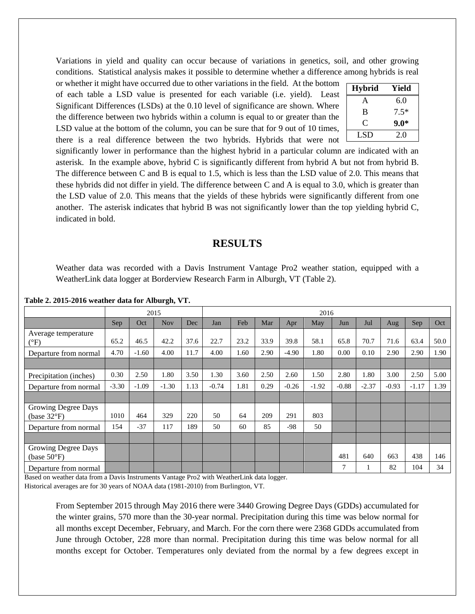Variations in yield and quality can occur because of variations in genetics, soil, and other growing conditions. Statistical analysis makes it possible to determine whether a difference among hybrids is real

or whether it might have occurred due to other variations in the field. At the bottom of each table a LSD value is presented for each variable (i.e. yield). Least Significant Differences (LSDs) at the 0.10 level of significance are shown. Where the difference between two hybrids within a column is equal to or greater than the LSD value at the bottom of the column, you can be sure that for 9 out of 10 times, there is a real difference between the two hybrids. Hybrids that were not

| <b>Hybrid</b>  | Yield  |
|----------------|--------|
| А              | 6.0    |
| B              | $7.5*$ |
| $\mathfrak{C}$ | $9.0*$ |
| LSD            | 2.0    |

significantly lower in performance than the highest hybrid in a particular column are indicated with an asterisk. In the example above, hybrid C is significantly different from hybrid A but not from hybrid B. The difference between C and B is equal to 1.5, which is less than the LSD value of 2.0. This means that these hybrids did not differ in yield. The difference between C and A is equal to 3.0, which is greater than the LSD value of 2.0. This means that the yields of these hybrids were significantly different from one another. The asterisk indicates that hybrid B was not significantly lower than the top yielding hybrid C, indicated in bold.

## **RESULTS**

Weather data was recorded with a Davis Instrument Vantage Pro2 weather station, equipped with a WeatherLink data logger at Borderview Research Farm in Alburgh, VT (Table 2).

|                                              |         | 2015    |            |      |         |      |      |         | 2016    |         |         |         |         |      |
|----------------------------------------------|---------|---------|------------|------|---------|------|------|---------|---------|---------|---------|---------|---------|------|
|                                              | Sep     | Oct     | <b>Nov</b> | Dec  | Jan     | Feb  | Mar  | Apr     | May     | Jun     | Jul     | Aug     | Sep     | Oct  |
| Average temperature<br>$(^{\circ}F)$         | 65.2    | 46.5    | 42.2       | 37.6 | 22.7    | 23.2 | 33.9 | 39.8    | 58.1    | 65.8    | 70.7    | 71.6    | 63.4    | 50.0 |
| Departure from normal                        | 4.70    | $-1.60$ | 4.00       | 11.7 | 4.00    | 1.60 | 2.90 | $-4.90$ | 1.80    | 0.00    | 0.10    | 2.90    | 2.90    | 1.90 |
|                                              |         |         |            |      |         |      |      |         |         |         |         |         |         |      |
| Precipitation (inches)                       | 0.30    | 2.50    | 1.80       | 3.50 | 1.30    | 3.60 | 2.50 | 2.60    | 1.50    | 2.80    | 1.80    | 3.00    | 2.50    | 5.00 |
| Departure from normal                        | $-3.30$ | $-1.09$ | $-1.30$    | 1.13 | $-0.74$ | 1.81 | 0.29 | $-0.26$ | $-1.92$ | $-0.88$ | $-2.37$ | $-0.93$ | $-1.17$ | 1.39 |
|                                              |         |         |            |      |         |      |      |         |         |         |         |         |         |      |
| Growing Degree Days<br>(base $32^{\circ}F$ ) | 1010    | 464     | 329        | 220  | 50      | 64   | 209  | 291     | 803     |         |         |         |         |      |
| Departure from normal                        | 154     | $-37$   | 117        | 189  | 50      | 60   | 85   | $-98$   | 50      |         |         |         |         |      |
|                                              |         |         |            |      |         |      |      |         |         |         |         |         |         |      |
| Growing Degree Days<br>(base $50^{\circ}$ F) |         |         |            |      |         |      |      |         |         | 481     | 640     | 663     | 438     | 146  |
| Departure from normal                        |         |         |            |      |         |      |      |         |         | 7       |         | 82      | 104     | 34   |

**Table 2. 2015-2016 weather data for Alburgh, VT.**

Based on weather data from a Davis Instruments Vantage Pro2 with WeatherLink data logger.

Historical averages are for 30 years of NOAA data (1981-2010) from Burlington, VT.

From September 2015 through May 2016 there were 3440 Growing Degree Days (GDDs) accumulated for the winter grains, 570 more than the 30-year normal. Precipitation during this time was below normal for all months except December, February, and March. For the corn there were 2368 GDDs accumulated from June through October, 228 more than normal. Precipitation during this time was below normal for all months except for October. Temperatures only deviated from the normal by a few degrees except in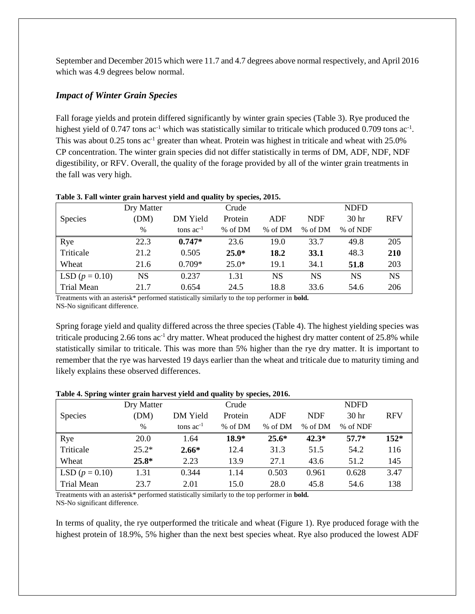September and December 2015 which were 11.7 and 4.7 degrees above normal respectively, and April 2016 which was 4.9 degrees below normal.

## *Impact of Winter Grain Species*

Fall forage yields and protein differed significantly by winter grain species (Table 3). Rye produced the highest yield of 0.747 tons  $ac^{-1}$  which was statistically similar to triticale which produced 0.709 tons  $ac^{-1}$ . This was about  $0.25$  tons ac<sup>-1</sup> greater than wheat. Protein was highest in triticale and wheat with  $25.0\%$ CP concentration. The winter grain species did not differ statistically in terms of DM, ADF, NDF, NDF digestibility, or RFV. Overall, the quality of the forage provided by all of the winter grain treatments in the fall was very high.

|                   | Dry Matter |                | Crude   |         |            | <b>NDFD</b>      |            |
|-------------------|------------|----------------|---------|---------|------------|------------------|------------|
| <b>Species</b>    | (DM)       | DM Yield       | Protein | ADF     | <b>NDF</b> | 30 <sub>hr</sub> | <b>RFV</b> |
|                   | $\%$       | tons $ac^{-1}$ | % of DM | % of DM | % of DM    | % of NDF         |            |
| Rye               | 22.3       | $0.747*$       | 23.6    | 19.0    | 33.7       | 49.8             | 205        |
| Triticale         | 21.2       | 0.505          | $25.0*$ | 18.2    | 33.1       | 48.3             | 210        |
| Wheat             | 21.6       | $0.709*$       | $25.0*$ | 19.1    | 34.1       | 51.8             | 203        |
| LSD $(p = 0.10)$  | NS         | 0.237          | 1.31    | NS      | NS         | NS               | <b>NS</b>  |
| <b>Trial Mean</b> | 21.7       | 0.654          | 24.5    | 18.8    | 33.6       | 54.6             | 206        |

#### **Table 3. Fall winter grain harvest yield and quality by species, 2015.**

Treatments with an asterisk\* performed statistically similarly to the top performer in **bold.** NS-No significant difference.

Spring forage yield and quality differed across the three species (Table 4). The highest yielding species was triticale producing 2.66 tons  $ac^{-1}$  dry matter. Wheat produced the highest dry matter content of 25.8% while statistically similar to triticale. This was more than 5% higher than the rye dry matter. It is important to remember that the rye was harvested 19 days earlier than the wheat and triticale due to maturity timing and likely explains these observed differences.

#### **Table 4. Spring winter grain harvest yield and quality by species, 2016.**

|                   | Dry Matter |                | Crude   |         |            | <b>NDFD</b>      |            |
|-------------------|------------|----------------|---------|---------|------------|------------------|------------|
| <b>Species</b>    | (DM)       | DM Yield       | Protein | ADF     | <b>NDF</b> | 30 <sub>hr</sub> | <b>RFV</b> |
|                   | $\%$       | tons $ac^{-1}$ | % of DM | % of DM | % of DM    | % of NDF         |            |
| Rye               | 20.0       | 1.64           | $18.9*$ | $25.6*$ | $42.3*$    | $57.7*$          | $152*$     |
| Triticale         | $25.2*$    | $2.66*$        | 12.4    | 31.3    | 51.5       | 54.2             | 116        |
| Wheat             | $25.8*$    | 2.23           | 13.9    | 27.1    | 43.6       | 51.2             | 145        |
| LSD $(p = 0.10)$  | 1.31       | 0.344          | 1.14    | 0.503   | 0.961      | 0.628            | 3.47       |
| <b>Trial Mean</b> | 23.7       | 2.01           | 15.0    | 28.0    | 45.8       | 54.6             | 138        |

Treatments with an asterisk\* performed statistically similarly to the top performer in **bold.** NS-No significant difference.

In terms of quality, the rye outperformed the triticale and wheat (Figure 1). Rye produced forage with the highest protein of 18.9%, 5% higher than the next best species wheat. Rye also produced the lowest ADF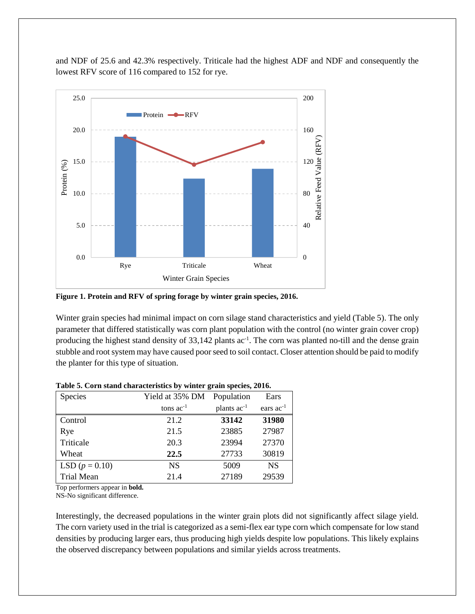and NDF of 25.6 and 42.3% respectively. Triticale had the highest ADF and NDF and consequently the lowest RFV score of 116 compared to 152 for rye.



**Figure 1. Protein and RFV of spring forage by winter grain species, 2016.**

Winter grain species had minimal impact on corn silage stand characteristics and yield (Table 5). The only parameter that differed statistically was corn plant population with the control (no winter grain cover crop) producing the highest stand density of 33,142 plants ac<sup>-1</sup>. The corn was planted no-till and the dense grain stubble and root system may have caused poor seed to soil contact. Closer attention should be paid to modify the planter for this type of situation.

| Species           | Yield at 35% DM | Population              | Ears                  |
|-------------------|-----------------|-------------------------|-----------------------|
|                   | tons $ac^{-1}$  | plants ac <sup>-1</sup> | ears ac <sup>-1</sup> |
| Control           | 21.2            | 33142                   | 31980                 |
| Rye               | 21.5            | 23885                   | 27987                 |
| Triticale         | 20.3            | 23994                   | 27370                 |
| Wheat             | 22.5            | 27733                   | 30819                 |
| LSD $(p = 0.10)$  | <b>NS</b>       | 5009                    | <b>NS</b>             |
| <b>Trial Mean</b> | 21.4            | 27189                   | 29539                 |

| Table 5. Corn stand characteristics by winter grain species, 2016. |  |  |  |  |  |
|--------------------------------------------------------------------|--|--|--|--|--|
|                                                                    |  |  |  |  |  |

Top performers appear in **bold.**

NS-No significant difference.

Interestingly, the decreased populations in the winter grain plots did not significantly affect silage yield. The corn variety used in the trial is categorized as a semi-flex ear type corn which compensate for low stand densities by producing larger ears, thus producing high yields despite low populations. This likely explains the observed discrepancy between populations and similar yields across treatments.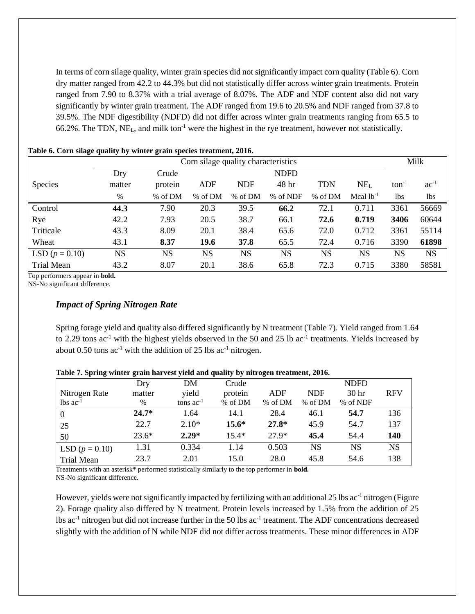In terms of corn silage quality, winter grain species did not significantly impact corn quality (Table 6). Corn dry matter ranged from 42.2 to 44.3% but did not statistically differ across winter grain treatments. Protein ranged from 7.90 to 8.37% with a trial average of 8.07%. The ADF and NDF content also did not vary significantly by winter grain treatment. The ADF ranged from 19.6 to 20.5% and NDF ranged from 37.8 to 39.5%. The NDF digestibility (NDFD) did not differ across winter grain treatments ranging from 65.5 to 66.2%. The TDN, NEL, and milk ton-1 were the highest in the rye treatment, however not statistically.

| Corn silage quality characteristics |           |           |           |            |             |            |                 |            | Milk       |
|-------------------------------------|-----------|-----------|-----------|------------|-------------|------------|-----------------|------------|------------|
|                                     | Dry       | Crude     |           |            | <b>NDFD</b> |            |                 |            |            |
| <b>Species</b>                      | matter    | protein   | ADF       | <b>NDF</b> | 48 hr       | <b>TDN</b> | NE <sub>L</sub> | $ton^{-1}$ | $ac^{-1}$  |
|                                     | %         | % of DM   | % of DM   | % of DM    | % of NDF    | % of DM    | Mcal $lb^{-1}$  | 1bs        | <b>lbs</b> |
| Control                             | 44.3      | 7.90      | 20.3      | 39.5       | 66.2        | 72.1       | 0.711           | 3361       | 56669      |
| Rye                                 | 42.2      | 7.93      | 20.5      | 38.7       | 66.1        | 72.6       | 0.719           | 3406       | 60644      |
| Triticale                           | 43.3      | 8.09      | 20.1      | 38.4       | 65.6        | 72.0       | 0.712           | 3361       | 55114      |
| Wheat                               | 43.1      | 8.37      | 19.6      | 37.8       | 65.5        | 72.4       | 0.716           | 3390       | 61898      |
| LSD $(p = 0.10)$                    | <b>NS</b> | <b>NS</b> | <b>NS</b> | <b>NS</b>  | <b>NS</b>   | <b>NS</b>  | <b>NS</b>       | <b>NS</b>  | <b>NS</b>  |
| <b>Trial Mean</b>                   | 43.2      | 8.07      | 20.1      | 38.6       | 65.8        | 72.3       | 0.715           | 3380       | 58581      |

|  |  |  |  | Table 6. Corn silage quality by winter grain species treatment, 2016. |  |
|--|--|--|--|-----------------------------------------------------------------------|--|
|  |  |  |  |                                                                       |  |

Top performers appear in **bold.**

NS-No significant difference.

#### *Impact of Spring Nitrogen Rate*

Spring forage yield and quality also differed significantly by N treatment (Table 7). Yield ranged from 1.64 to 2.29 tons  $ac^{-1}$  with the highest yields observed in the 50 and 25 lb  $ac^{-1}$  treatments. Yields increased by about 0.50 tons  $ac^{-1}$  with the addition of 25 lbs  $ac^{-1}$  nitrogen.

| $- - - - - -$          | Dry     | DM             | There is the second state of the second state in the second state of the second state in the second state of t<br>Crude |         |            | <b>NDFD</b>      |            |
|------------------------|---------|----------------|-------------------------------------------------------------------------------------------------------------------------|---------|------------|------------------|------------|
| Nitrogen Rate          | matter  | yield          | protein                                                                                                                 | ADF     | <b>NDF</b> | 30 <sub>hr</sub> | <b>RFV</b> |
| $lbs$ ac <sup>-1</sup> | $\%$    | tons $ac^{-1}$ | % of DM                                                                                                                 | % of DM | % of DM    | % of NDF         |            |
|                        | $24.7*$ | 1.64           | 14.1                                                                                                                    | 28.4    | 46.1       | 54.7             | 136        |
| 25                     | 22.7    | $2.10*$        | $15.6*$                                                                                                                 | $27.8*$ | 45.9       | 54.7             | 137        |
| 50                     | $23.6*$ | $2.29*$        | $15.4*$                                                                                                                 | $27.9*$ | 45.4       | 54.4             | 140        |
| LSD $(p = 0.10)$       | 1.31    | 0.334          | 1.14                                                                                                                    | 0.503   | NS         | NS               | NS         |
| <b>Trial Mean</b>      | 23.7    | 2.01           | 15.0                                                                                                                    | 28.0    | 45.8       | 54.6             | 138        |

**Table 7. Spring winter grain harvest yield and quality by nitrogen treatment, 2016.**

Treatments with an asterisk\* performed statistically similarly to the top performer in **bold.** NS-No significant difference.

However, yields were not significantly impacted by fertilizing with an additional 25 lbs ac<sup>-1</sup> nitrogen (Figure 2). Forage quality also differed by N treatment. Protein levels increased by 1.5% from the addition of 25 lbs ac<sup>-1</sup> nitrogen but did not increase further in the 50 lbs ac<sup>-1</sup> treatment. The ADF concentrations decreased slightly with the addition of N while NDF did not differ across treatments. These minor differences in ADF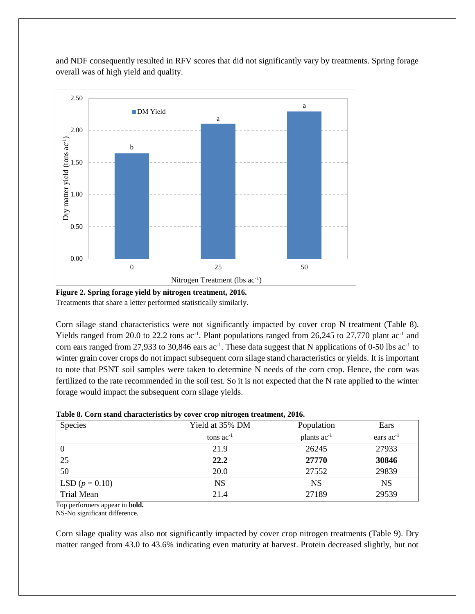and NDF consequently resulted in RFV scores that did not significantly vary by treatments. Spring forage overall was of high yield and quality.



**Figure 2. Spring forage yield by nitrogen treatment, 2016.** Treatments that share a letter performed statistically similarly.

Corn silage stand characteristics were not significantly impacted by cover crop N treatment (Table 8). Yields ranged from 20.0 to 22.2 tons ac<sup>-1</sup>. Plant populations ranged from 26,245 to 27,770 plant ac<sup>-1</sup> and corn ears ranged from 27,933 to 30,846 ears  $ac^{-1}$ . These data suggest that N applications of 0-50 lbs  $ac^{-1}$  to winter grain cover crops do not impact subsequent corn silage stand characteristics or yields. It is important to note that PSNT soil samples were taken to determine N needs of the corn crop. Hence, the corn was fertilized to the rate recommended in the soil test. So it is not expected that the N rate applied to the winter forage would impact the subsequent corn silage yields.

| Species           | Yield at 35% DM | Population       | Ears           |
|-------------------|-----------------|------------------|----------------|
|                   | tons $ac^{-1}$  | plants $ac^{-1}$ | ears $ac^{-1}$ |
|                   | 21.9            | 26245            | 27933          |
| 25                | 22.2            | 27770            | 30846          |
| 50                | 20.0            | 27552            | 29839          |
| LSD $(p = 0.10)$  | NS              | NS               | NS             |
| <b>Trial Mean</b> | 21.4            | 27189            | 29539          |

| Table 8. Corn stand characteristics by cover crop nitrogen treatment, 2016. |  |  |  |
|-----------------------------------------------------------------------------|--|--|--|
|-----------------------------------------------------------------------------|--|--|--|

Top performers appear in **bold.**

NS-No significant difference.

Corn silage quality was also not significantly impacted by cover crop nitrogen treatments (Table 9). Dry matter ranged from 43.0 to 43.6% indicating even maturity at harvest. Protein decreased slightly, but not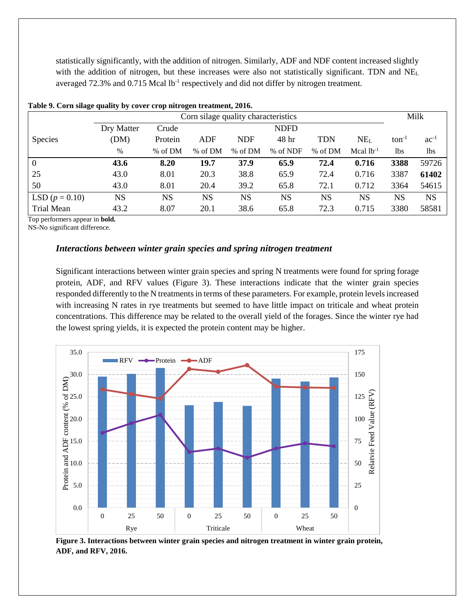statistically significantly, with the addition of nitrogen. Similarly, ADF and NDF content increased slightly with the addition of nitrogen, but these increases were also not statistically significant. TDN and NEL averaged  $72.3\%$  and  $0.715$  Mcal lb<sup>-1</sup> respectively and did not differ by nitrogen treatment.

|                  | Corn silage quality characteristics |           |           |            |                 |            |                 | Milk       |           |
|------------------|-------------------------------------|-----------|-----------|------------|-----------------|------------|-----------------|------------|-----------|
|                  | Dry Matter                          | Crude     |           |            | <b>NDFD</b>     |            |                 |            |           |
| <b>Species</b>   | (DM)                                | Protein   | ADF       | <b>NDF</b> | 48 <sup>h</sup> | <b>TDN</b> | NE <sub>L</sub> | $ton^{-1}$ | $ac^{-1}$ |
|                  | $\%$                                | % of DM   | % of DM   | % of DM    | % of NDF        | % of DM    | Mcal $lb-1$     | 1bs        | lbs       |
| $\overline{0}$   | 43.6                                | 8.20      | 19.7      | 37.9       | 65.9            | 72.4       | 0.716           | 3388       | 59726     |
| 25               | 43.0                                | 8.01      | 20.3      | 38.8       | 65.9            | 72.4       | 0.716           | 3387       | 61402     |
| 50               | 43.0                                | 8.01      | 20.4      | 39.2       | 65.8            | 72.1       | 0.712           | 3364       | 54615     |
| LSD $(p = 0.10)$ | <b>NS</b>                           | <b>NS</b> | <b>NS</b> | <b>NS</b>  | <b>NS</b>       | <b>NS</b>  | <b>NS</b>       | <b>NS</b>  | <b>NS</b> |
| Trial Mean       | 43.2                                | 8.07      | 20.1      | 38.6       | 65.8            | 72.3       | 0.715           | 3380       | 58581     |

|  |  |  |  | Table 9. Corn silage quality by cover crop nitrogen treatment, 2016. |  |
|--|--|--|--|----------------------------------------------------------------------|--|
|  |  |  |  |                                                                      |  |

Top performers appear in **bold.**

NS-No significant difference.

#### *Interactions between winter grain species and spring nitrogen treatment*

Significant interactions between winter grain species and spring N treatments were found for spring forage protein, ADF, and RFV values (Figure 3). These interactions indicate that the winter grain species responded differently to the N treatments in terms of these parameters. For example, protein levels increased with increasing N rates in rye treatments but seemed to have little impact on triticale and wheat protein concentrations. This difference may be related to the overall yield of the forages. Since the winter rye had the lowest spring yields, it is expected the protein content may be higher.



**Figure 3. Interactions between winter grain species and nitrogen treatment in winter grain protein, ADF, and RFV, 2016.**